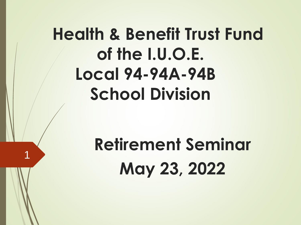# **Health & Benefit Trust Fund of the I.U.O.E. Local 94-94A-94B School Division**

# **Retirement Seminar May 23, 2022**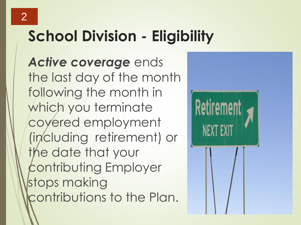## **School Division - Eligibility**

*Active coverage* ends the last day of the month following the month in which you terminate covered employment (including retirement) or the date that your contributing Employer stops making contributions to the Plan.

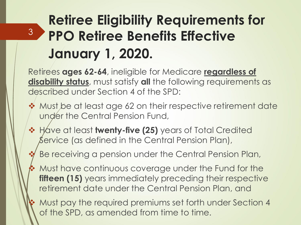### **Retiree Eligibility Requirements for PPO Retiree Benefits Effective January 1, 2020.**

3

Retirees **ages 62-64**, ineligible for Medicare **regardless of disability status**, must satisfy **all** the following requirements as described under Section 4 of the SPD:

- ❖ Must be at least age 62 on their respective retirement date under the Central Pension Fund,
- ❖ Have at least **twenty-five (25)** years of Total Credited Service (as defined in the Central Pension Plan),

Be receiving a pension under the Central Pension Plan,

❖ Must have continuous coverage under the Fund for the **fifteen (15)** years immediately preceding their respective retirement date under the Central Pension Plan, and

❖ Must pay the required premiums set forth under Section 4 of the SPD, as amended from time to time.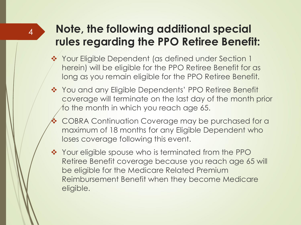#### **Note, the following additional special rules regarding the PPO Retiree Benefit:**

- ❖ Your Eligible Dependent (as defined under Section 1 herein) will be eligible for the PPO Retiree Benefit for as long as you remain eligible for the PPO Retiree Benefit.
- ❖ You and any Eligible Dependents' PPO Retiree Benefit coverage will terminate on the last day of the month prior to the month in which you reach age 65.
- ❖ COBRA Continuation Coverage may be purchased for a maximum of 18 months for any Eligible Dependent who loses coverage following this event.
- ❖ Your eligible spouse who is terminated from the PPO Retiree Benefit coverage because you reach age 65 will be eligible for the Medicare Related Premium Reimbursement Benefit when they become Medicare eligible.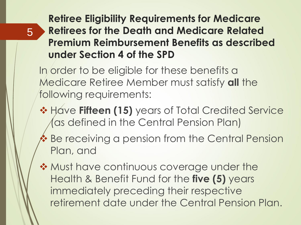**Retiree Eligibility Requirements for Medicare Retirees for the Death and Medicare Related Premium Reimbursement Benefits as described under Section 4 of the SPD**

In order to be eligible for these benefits a Medicare Retiree Member must satisfy **all** the following requirements:

- ❖ Have **Fifteen (15)** years of Total Credited Service (as defined in the Central Pension Plan)
- ❖ Be receiving a pension from the Central Pension Plan, and
- ❖ Must have continuous coverage under the Health & Benefit Fund for the **five (5)** years immediately preceding their respective retirement date under the Central Pension Plan.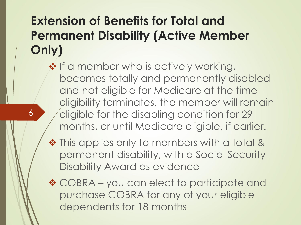### **Extension of Benefits for Total and Permanent Disability (Active Member Only)**

6

❖ If a member who is actively working, becomes totally and permanently disabled and not eligible for Medicare at the time eligibility terminates, the member will remain eligible for the disabling condition for 29 months, or until Medicare eligible, if earlier.

- ❖ This applies only to members with a total & permanent disability, with a Social Security Disability Award as evidence
- ❖ COBRA you can elect to participate and purchase COBRA for any of your eligible dependents for 18 months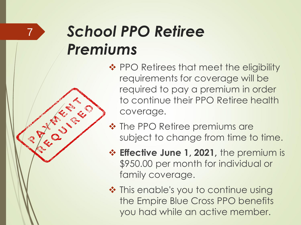# *School PPO Retiree Premiums*

7

CENT CO

- ❖ PPO Retirees that meet the eligibility requirements for coverage will be required to pay a premium in order to continue their PPO Retiree health coverage.
- ❖ The PPO Retiree premiums are subject to change from time to time.
- ❖ **Effective June 1, 2021,** the premium is \$950.00 per month for individual or family coverage.
- ❖ This enable's you to continue using the Empire Blue Cross PPO benefits you had while an active member.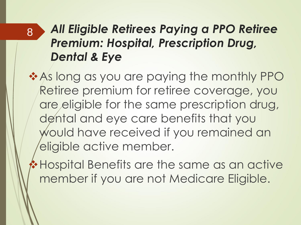### *All Eligible Retirees Paying a PPO Retiree Premium: Hospital, Prescription Drug, Dental & Eye*

8

❖As long as you are paying the monthly PPO Retiree premium for retiree coverage, you are eligible for the same prescription drug, dental and eye care benefits that you would have received if you remained an eligible active member.

❖Hospital Benefits are the same as an active member if you are not Medicare Eligible.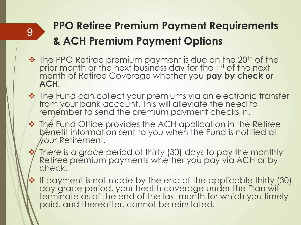### **PPO Retiree Premium Payment Requirements & ACH Premium Payment Options**

❖ The PPO Retiree premium payment is due on the 20<sup>th</sup> of the prior month or the next business day for the 1st of the next month of Retiree Coverage whether you **pay by check or ACH.** 

- ❖ The Fund can collect your premiums via an electronic transfer from your bank account. This will alleviate the need to remember to send the premium payment checks in.
- ❖ The Fund Office provides the ACH application in the Retiree benefit information sent to you when the Fund is notified of your Retirement.
- ❖ There is a grace period of thirty (30) days to pay the monthly Retiree premium payments whether you pay via ACH or by check.
- ❖ If payment is not made by the end of the applicable thirty (30) day grace period, your health coverage under the Plan will terminate as of the end of the last month for which you timely paid, and thereafter, cannot be reinstated.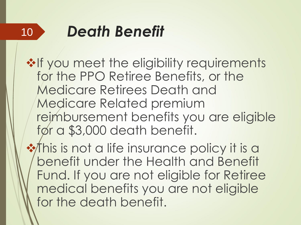#### *Death Benefit* 10

**❖If you meet the eligibility requirements** for the PPO Retiree Benefits, or the Medicare Retirees Death and Medicare Related premium reimbursement benefits you are eligible for a \$3,000 death benefit.

**❖ This is not a life insurance policy it is a** benefit under the Health and Benefit Fund. If you are not eligible for Retiree medical benefits you are not eligible for the death benefit.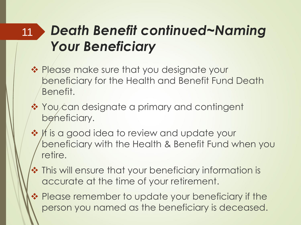#### *Death Benefit continued~Naming Your Beneficiary* 11

- ❖ Please make sure that you designate your beneficiary for the Health and Benefit Fund Death Benefit.
- ❖ You can designate a primary and contingent beneficiary.
- ❖ It is a good idea to review and update your beneficiary with the Health & Benefit Fund when you retire.
- ❖ This will ensure that your beneficiary information is accurate at the time of your retirement.
- ❖ Please remember to update your beneficiary if the person you named as the beneficiary is deceased.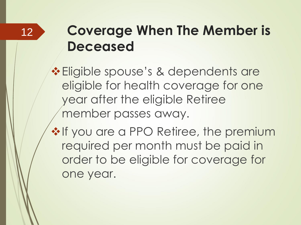### **Coverage When The Member is Deceased**

❖Eligible spouse's & dependents are eligible for health coverage for one year after the eligible Retiree member passes away.

❖If you are a PPO Retiree, the premium required per month must be paid in order to be eligible for coverage for one year.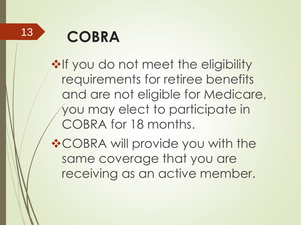13

# **COBRA**

**❖If you do not meet the eligibility** requirements for retiree benefits and are not eligible for Medicare, you may elect to participate in COBRA for 18 months.

❖COBRA will provide you with the same coverage that you are receiving as an active member.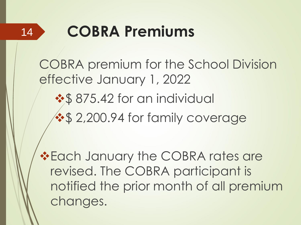

## **COBRA Premiums**

COBRA premium for the School Division effective January 1, 2022

❖\$ 875.42 for an individual

**❖\$ 2,200.94 for family coverage** 

❖Each January the COBRA rates are revised. The COBRA participant is notified the prior month of all premium changes.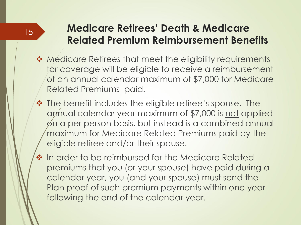#### 15

#### **Medicare Retirees' Death & Medicare Related Premium Reimbursement Benefits**

- ◆ Medicare Retirees that meet the eligibility requirements for coverage will be eligible to receive a reimbursement of an annual calendar maximum of \$7,000 for Medicare Related Premiums paid.
- ❖ The benefit includes the eligible retiree's spouse. The annual calendar year maximum of \$7,000 is not applied on a per person basis, but instead is a combined annual maximum for Medicare Related Premiums paid by the eligible retiree and/or their spouse.
- ❖ In order to be reimbursed for the Medicare Related premiums that you (or your spouse) have paid during a calendar year, you (and your spouse) must send the Plan proof of such premium payments within one year following the end of the calendar year.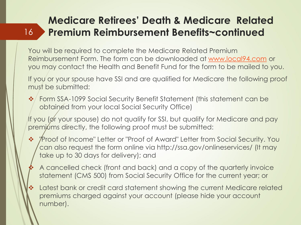#### **Medicare Retirees' Death & Medicare Related Premium Reimbursement Benefits~continued** 16

You will be required to complete the Medicare Related Premium Reimbursement Form. The form can be downloaded at [www.local94.com](http://www.local94.com/) or you may contact the Health and Benefit Fund for the form to be mailed to you.

If you or your spouse have SSI and are qualified for Medicare the following proof must be submitted:

❖ Form SSA-1099 Social Security Benefit Statement (this statement can be obtained from your local Social Security Office)

If you (or your spouse) do not qualify for SSI, but qualify for Medicare and pay premiums directly, the following proof must be submitted:

- ❖ "Proof of Income" Letter or "Proof of Award" Letter from Social Security. You can also request the form online via http://ssa.gov/onlineservices/ (It may take up to 30 days for delivery); and
	- ❖ A cancelled check (front and back) and a copy of the quarterly invoice statement (CMS 500) from Social Security Office for the current year; or
- ❖ Latest bank or credit card statement showing the current Medicare related premiums charged against your account (please hide your account number).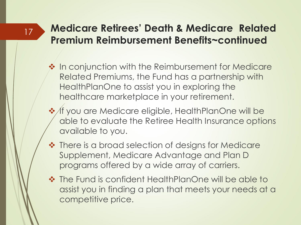#### **Medicare Retirees' Death & Medicare Related Premium Reimbursement Benefits~continued**

- ❖ In conjunction with the Reimbursement for Medicare Related Premiums, the Fund has a partnership with HealthPlanOne to assist you in exploring the healthcare marketplace in your retirement.
- ❖ If you are Medicare eligible, HealthPlanOne will be able to evaluate the Retiree Health Insurance options available to you.
- ❖ There is a broad selection of designs for Medicare Supplement, Medicare Advantage and Plan D programs offered by a wide array of carriers.
- ❖ The Fund is confident HealthPlanOne will be able to assist you in finding a plan that meets your needs at a competitive price.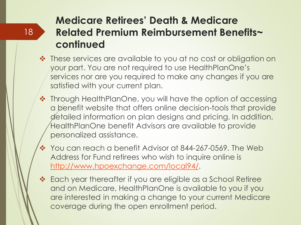#### **Medicare Retirees' Death & Medicare Related Premium Reimbursement Benefits~ continued**

- ❖ These services are available to you at no cost or obligation on your part. You are not required to use HealthPlanOne's services nor are you required to make any changes if you are satisfied with your current plan.
- ❖ Through HealthPlanOne, you will have the option of accessing a benefit website that offers online decision-tools that provide detailed information on plan designs and pricing. In addition, HealthPlanOne benefit Advisors are available to provide personalized assistance.
- ❖ You can reach a benefit Advisor at 844-267-0569. The Web Address for Fund retirees who wish to inquire online is [http://www.hpoexchange.com/local94/.](http://www.hpoexchange.com/local94/)
- ❖ Each year thereafter if you are eligible as a School Retiree and on Medicare, HealthPlanOne is available to you if you are interested in making a change to your current Medicare coverage during the open enrollment period.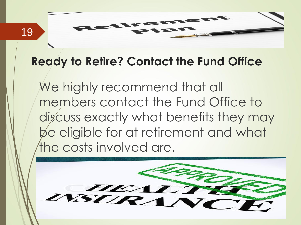

#### **Ready to Retire? Contact the Fund Office**

We highly recommend that all members contact the Fund Office to discuss exactly what benefits they may be eligible for at retirement and what the costs involved are.

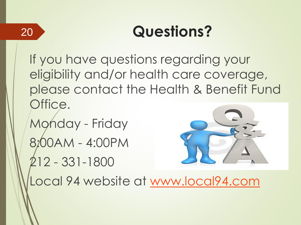20

## **Questions?**

If you have questions regarding your eligibility and/or health care coverage, please contact the Health & Benefit Fund Office.

Monday - Friday 8:00AM - 4:00PM 212 - 331-1800



Local 94 website at [www.local94.com](http://www.local94.com/)